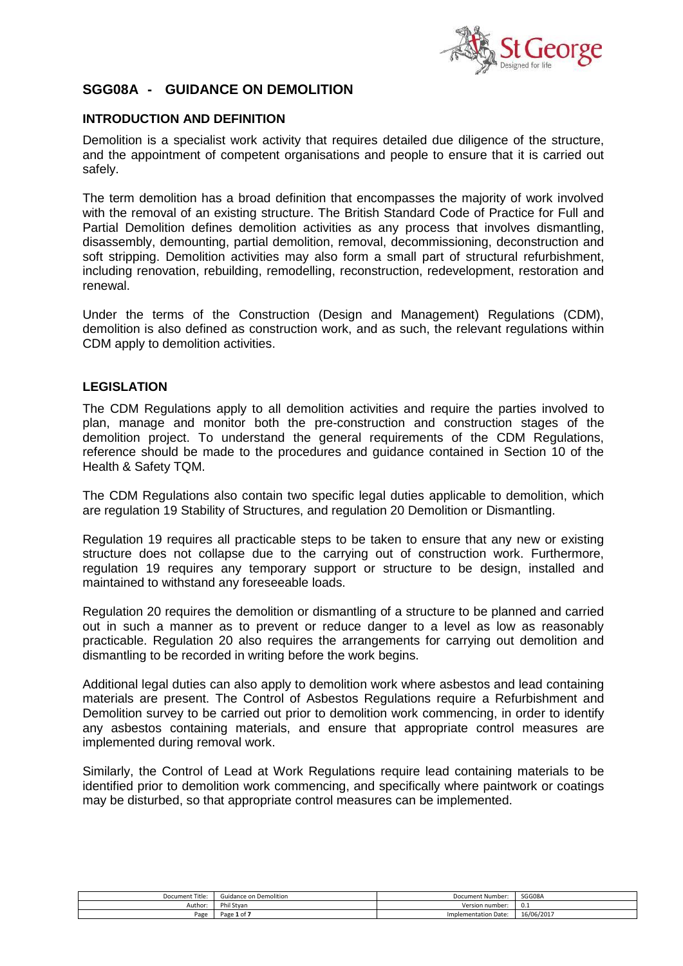

# **SGG08A - GUIDANCE ON DEMOLITION**

# **INTRODUCTION AND DEFINITION**

Demolition is a specialist work activity that requires detailed due diligence of the structure, and the appointment of competent organisations and people to ensure that it is carried out safely.

The term demolition has a broad definition that encompasses the majority of work involved with the removal of an existing structure. The British Standard Code of Practice for Full and Partial Demolition defines demolition activities as any process that involves dismantling, disassembly, demounting, partial demolition, removal, decommissioning, deconstruction and soft stripping. Demolition activities may also form a small part of structural refurbishment, including renovation, rebuilding, remodelling, reconstruction, redevelopment, restoration and renewal.

Under the terms of the Construction (Design and Management) Regulations (CDM), demolition is also defined as construction work, and as such, the relevant regulations within CDM apply to demolition activities.

#### **LEGISLATION**

The CDM Regulations apply to all demolition activities and require the parties involved to plan, manage and monitor both the pre-construction and construction stages of the demolition project. To understand the general requirements of the CDM Regulations, reference should be made to the procedures and guidance contained in Section 10 of the Health & Safety TQM.

The CDM Regulations also contain two specific legal duties applicable to demolition, which are regulation 19 Stability of Structures, and regulation 20 Demolition or Dismantling.

Regulation 19 requires all practicable steps to be taken to ensure that any new or existing structure does not collapse due to the carrying out of construction work. Furthermore, regulation 19 requires any temporary support or structure to be design, installed and maintained to withstand any foreseeable loads.

Regulation 20 requires the demolition or dismantling of a structure to be planned and carried out in such a manner as to prevent or reduce danger to a level as low as reasonably practicable. Regulation 20 also requires the arrangements for carrying out demolition and dismantling to be recorded in writing before the work begins.

Additional legal duties can also apply to demolition work where asbestos and lead containing materials are present. The Control of Asbestos Regulations require a Refurbishment and Demolition survey to be carried out prior to demolition work commencing, in order to identify any asbestos containing materials, and ensure that appropriate control measures are implemented during removal work.

Similarly, the Control of Lead at Work Regulations require lead containing materials to be identified prior to demolition work commencing, and specifically where paintwork or coatings may be disturbed, so that appropriate control measures can be implemented.

| $-1$<br>Document Title: | Guidance on Demolition        | Document Number:     | SGG08A     |
|-------------------------|-------------------------------|----------------------|------------|
| Author:                 | Phil Stvan                    | Version number:      | 0.1        |
| Page                    | $1$ of $\overline{ }$<br>Page | Implementation Date: | 16/06/2017 |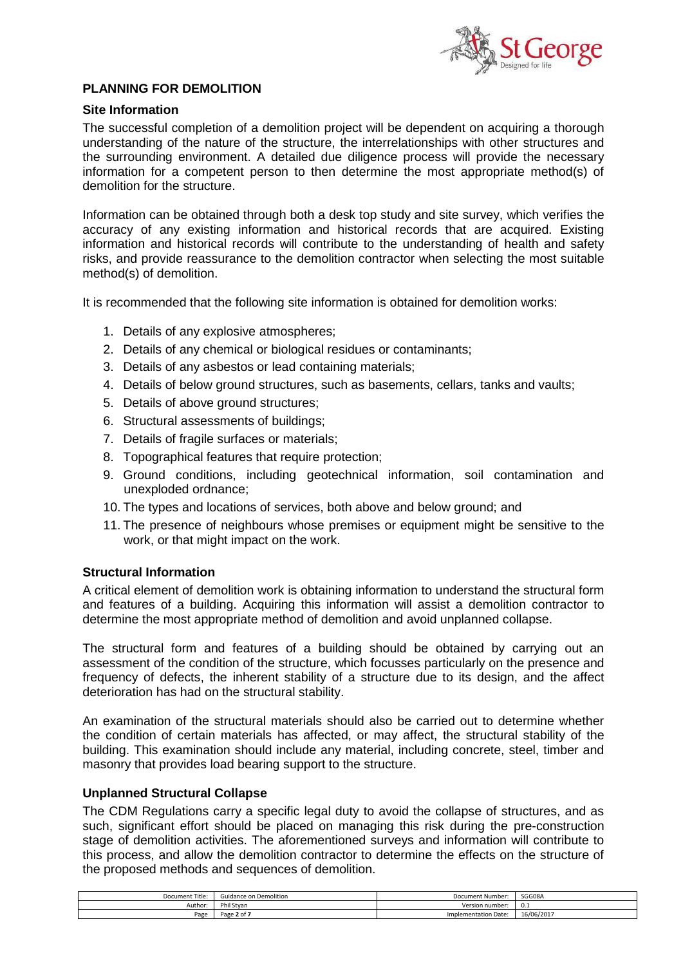

# **PLANNING FOR DEMOLITION**

#### **Site Information**

The successful completion of a demolition project will be dependent on acquiring a thorough understanding of the nature of the structure, the interrelationships with other structures and the surrounding environment. A detailed due diligence process will provide the necessary information for a competent person to then determine the most appropriate method(s) of demolition for the structure.

Information can be obtained through both a desk top study and site survey, which verifies the accuracy of any existing information and historical records that are acquired. Existing information and historical records will contribute to the understanding of health and safety risks, and provide reassurance to the demolition contractor when selecting the most suitable method(s) of demolition.

It is recommended that the following site information is obtained for demolition works:

- 1. Details of any explosive atmospheres;
- 2. Details of any chemical or biological residues or contaminants;
- 3. Details of any asbestos or lead containing materials;
- 4. Details of below ground structures, such as basements, cellars, tanks and vaults;
- 5. Details of above ground structures;
- 6. Structural assessments of buildings;
- 7. Details of fragile surfaces or materials;
- 8. Topographical features that require protection;
- 9. Ground conditions, including geotechnical information, soil contamination and unexploded ordnance;
- 10. The types and locations of services, both above and below ground; and
- 11. The presence of neighbours whose premises or equipment might be sensitive to the work, or that might impact on the work.

#### **Structural Information**

A critical element of demolition work is obtaining information to understand the structural form and features of a building. Acquiring this information will assist a demolition contractor to determine the most appropriate method of demolition and avoid unplanned collapse.

The structural form and features of a building should be obtained by carrying out an assessment of the condition of the structure, which focusses particularly on the presence and frequency of defects, the inherent stability of a structure due to its design, and the affect deterioration has had on the structural stability.

An examination of the structural materials should also be carried out to determine whether the condition of certain materials has affected, or may affect, the structural stability of the building. This examination should include any material, including concrete, steel, timber and masonry that provides load bearing support to the structure.

#### **Unplanned Structural Collapse**

The CDM Regulations carry a specific legal duty to avoid the collapse of structures, and as such, significant effort should be placed on managing this risk during the pre-construction stage of demolition activities. The aforementioned surveys and information will contribute to this process, and allow the demolition contractor to determine the effects on the structure of the proposed methods and sequences of demolition.

| SGG08A                                                           |
|------------------------------------------------------------------|
|                                                                  |
| υ.⊥                                                              |
| 16/06/2017                                                       |
| <b>Document Number</b><br>Version number<br>Implementation Date: |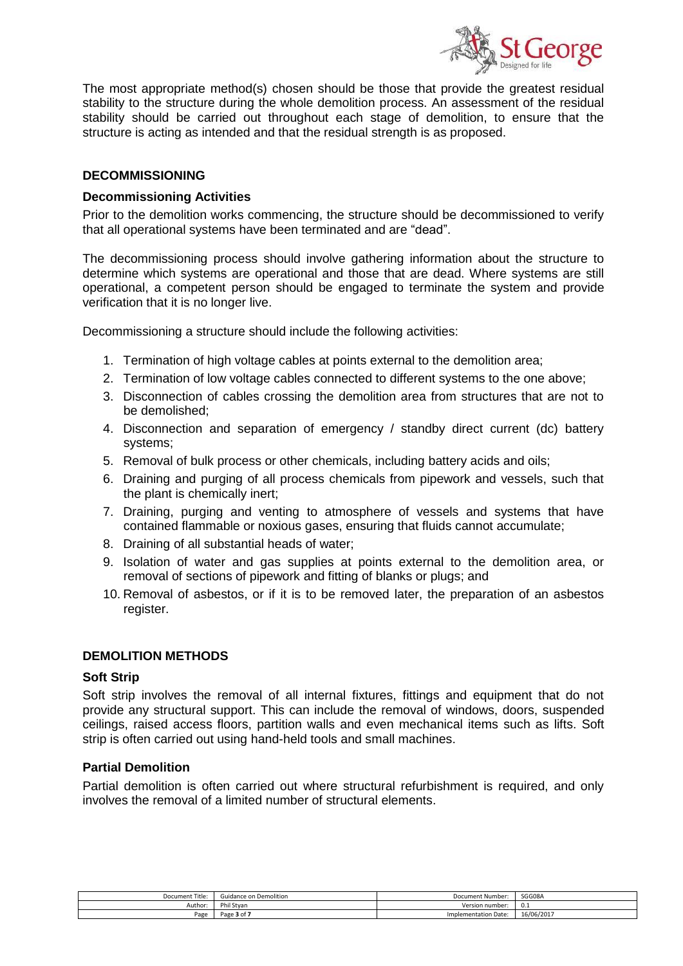

The most appropriate method(s) chosen should be those that provide the greatest residual stability to the structure during the whole demolition process. An assessment of the residual stability should be carried out throughout each stage of demolition, to ensure that the structure is acting as intended and that the residual strength is as proposed.

# **DECOMMISSIONING**

#### **Decommissioning Activities**

Prior to the demolition works commencing, the structure should be decommissioned to verify that all operational systems have been terminated and are "dead".

The decommissioning process should involve gathering information about the structure to determine which systems are operational and those that are dead. Where systems are still operational, a competent person should be engaged to terminate the system and provide verification that it is no longer live.

Decommissioning a structure should include the following activities:

- 1. Termination of high voltage cables at points external to the demolition area;
- 2. Termination of low voltage cables connected to different systems to the one above;
- 3. Disconnection of cables crossing the demolition area from structures that are not to be demolished;
- 4. Disconnection and separation of emergency / standby direct current (dc) battery systems;
- 5. Removal of bulk process or other chemicals, including battery acids and oils;
- 6. Draining and purging of all process chemicals from pipework and vessels, such that the plant is chemically inert;
- 7. Draining, purging and venting to atmosphere of vessels and systems that have contained flammable or noxious gases, ensuring that fluids cannot accumulate;
- 8. Draining of all substantial heads of water;
- 9. Isolation of water and gas supplies at points external to the demolition area, or removal of sections of pipework and fitting of blanks or plugs; and
- 10. Removal of asbestos, or if it is to be removed later, the preparation of an asbestos register.

#### **DEMOLITION METHODS**

#### **Soft Strip**

Soft strip involves the removal of all internal fixtures, fittings and equipment that do not provide any structural support. This can include the removal of windows, doors, suspended ceilings, raised access floors, partition walls and even mechanical items such as lifts. Soft strip is often carried out using hand-held tools and small machines.

# **Partial Demolition**

Partial demolition is often carried out where structural refurbishment is required, and only involves the removal of a limited number of structural elements.

| $\overline{\phantom{a}}$<br>Document Title: | Suidance on Demolition | Document Number      | SGG08A     |
|---------------------------------------------|------------------------|----------------------|------------|
| Author <sup>.</sup>                         | <sup>o</sup> hil Stvan | Version number:      | v.i        |
| Page                                        | Dogo<br>3 of<br>age    | Implementation Date: | 16/06/2017 |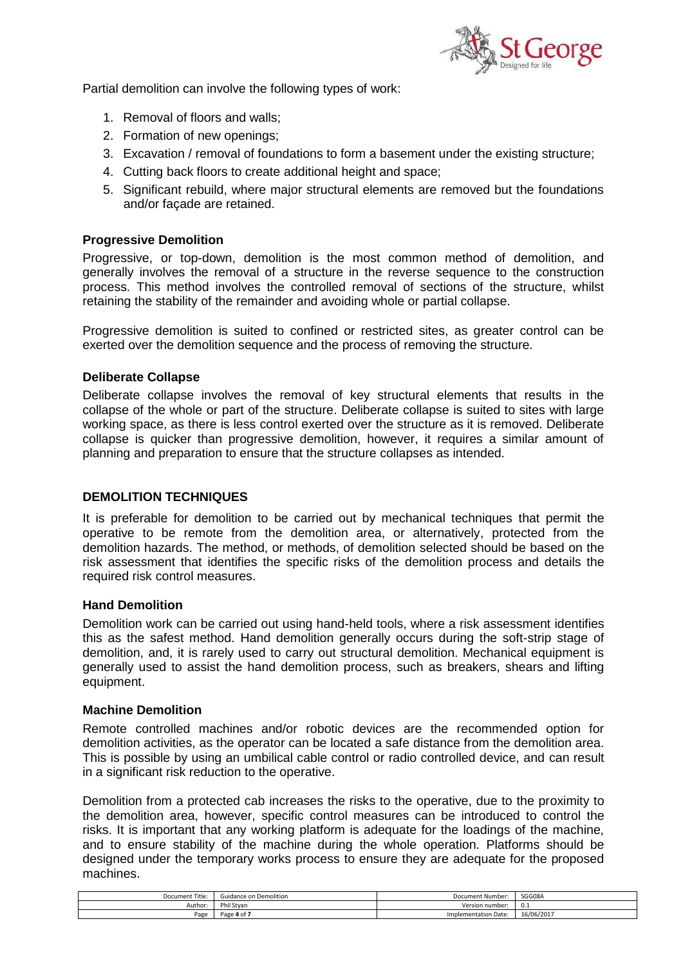

Partial demolition can involve the following types of work:

- 1. Removal of floors and walls;
- 2. Formation of new openings;
- 3. Excavation / removal of foundations to form a basement under the existing structure;
- 4. Cutting back floors to create additional height and space;
- 5. Significant rebuild, where major structural elements are removed but the foundations and/or façade are retained.

# **Progressive Demolition**

Progressive, or top-down, demolition is the most common method of demolition, and generally involves the removal of a structure in the reverse sequence to the construction process. This method involves the controlled removal of sections of the structure, whilst retaining the stability of the remainder and avoiding whole or partial collapse.

Progressive demolition is suited to confined or restricted sites, as greater control can be exerted over the demolition sequence and the process of removing the structure.

#### **Deliberate Collapse**

Deliberate collapse involves the removal of key structural elements that results in the collapse of the whole or part of the structure. Deliberate collapse is suited to sites with large working space, as there is less control exerted over the structure as it is removed. Deliberate collapse is quicker than progressive demolition, however, it requires a similar amount of planning and preparation to ensure that the structure collapses as intended.

# **DEMOLITION TECHNIQUES**

It is preferable for demolition to be carried out by mechanical techniques that permit the operative to be remote from the demolition area, or alternatively, protected from the demolition hazards. The method, or methods, of demolition selected should be based on the risk assessment that identifies the specific risks of the demolition process and details the required risk control measures.

#### **Hand Demolition**

Demolition work can be carried out using hand-held tools, where a risk assessment identifies this as the safest method. Hand demolition generally occurs during the soft-strip stage of demolition, and, it is rarely used to carry out structural demolition. Mechanical equipment is generally used to assist the hand demolition process, such as breakers, shears and lifting equipment.

#### **Machine Demolition**

Remote controlled machines and/or robotic devices are the recommended option for demolition activities, as the operator can be located a safe distance from the demolition area. This is possible by using an umbilical cable control or radio controlled device, and can result in a significant risk reduction to the operative.

Demolition from a protected cab increases the risks to the operative, due to the proximity to the demolition area, however, specific control measures can be introduced to control the risks. It is important that any working platform is adequate for the loadings of the machine, and to ensure stability of the machine during the whole operation. Platforms should be designed under the temporary works process to ensure they are adequate for the proposed machines.

| Document Title: | Guidance on Demolition              | Document Number:     | SGG08A     |
|-----------------|-------------------------------------|----------------------|------------|
| Author          | Phil Stvan                          | Version number:      | 0.1        |
| Page            | Page<br>$-40f$<br>. ا∪ <del>ب</del> | Implementation Date: | 16/06/2017 |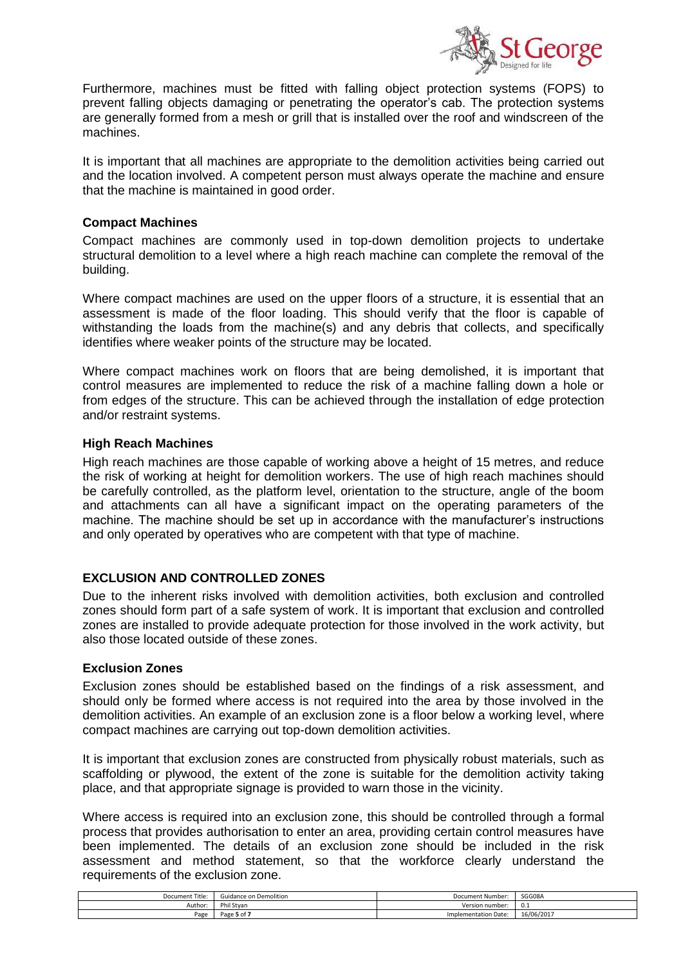

Furthermore, machines must be fitted with falling object protection systems (FOPS) to prevent falling objects damaging or penetrating the operator's cab. The protection systems are generally formed from a mesh or grill that is installed over the roof and windscreen of the machines.

It is important that all machines are appropriate to the demolition activities being carried out and the location involved. A competent person must always operate the machine and ensure that the machine is maintained in good order.

### **Compact Machines**

Compact machines are commonly used in top-down demolition projects to undertake structural demolition to a level where a high reach machine can complete the removal of the building.

Where compact machines are used on the upper floors of a structure, it is essential that an assessment is made of the floor loading. This should verify that the floor is capable of withstanding the loads from the machine(s) and any debris that collects, and specifically identifies where weaker points of the structure may be located.

Where compact machines work on floors that are being demolished, it is important that control measures are implemented to reduce the risk of a machine falling down a hole or from edges of the structure. This can be achieved through the installation of edge protection and/or restraint systems.

#### **High Reach Machines**

High reach machines are those capable of working above a height of 15 metres, and reduce the risk of working at height for demolition workers. The use of high reach machines should be carefully controlled, as the platform level, orientation to the structure, angle of the boom and attachments can all have a significant impact on the operating parameters of the machine. The machine should be set up in accordance with the manufacturer's instructions and only operated by operatives who are competent with that type of machine.

# **EXCLUSION AND CONTROLLED ZONES**

Due to the inherent risks involved with demolition activities, both exclusion and controlled zones should form part of a safe system of work. It is important that exclusion and controlled zones are installed to provide adequate protection for those involved in the work activity, but also those located outside of these zones.

# **Exclusion Zones**

Exclusion zones should be established based on the findings of a risk assessment, and should only be formed where access is not required into the area by those involved in the demolition activities. An example of an exclusion zone is a floor below a working level, where compact machines are carrying out top-down demolition activities.

It is important that exclusion zones are constructed from physically robust materials, such as scaffolding or plywood, the extent of the zone is suitable for the demolition activity taking place, and that appropriate signage is provided to warn those in the vicinity.

Where access is required into an exclusion zone, this should be controlled through a formal process that provides authorisation to enter an area, providing certain control measures have been implemented. The details of an exclusion zone should be included in the risk assessment and method statement, so that the workforce clearly understand the requirements of the exclusion zone.

| Document Title: | Guidance on Demolition | Document Number:            | SGG08A     |
|-----------------|------------------------|-----------------------------|------------|
| Author:         | Phi<br>. Stvan         | Version number:             | v.i        |
| Page            | Page<br>5 of           | <b>Implementation Date:</b> | 16/06/2017 |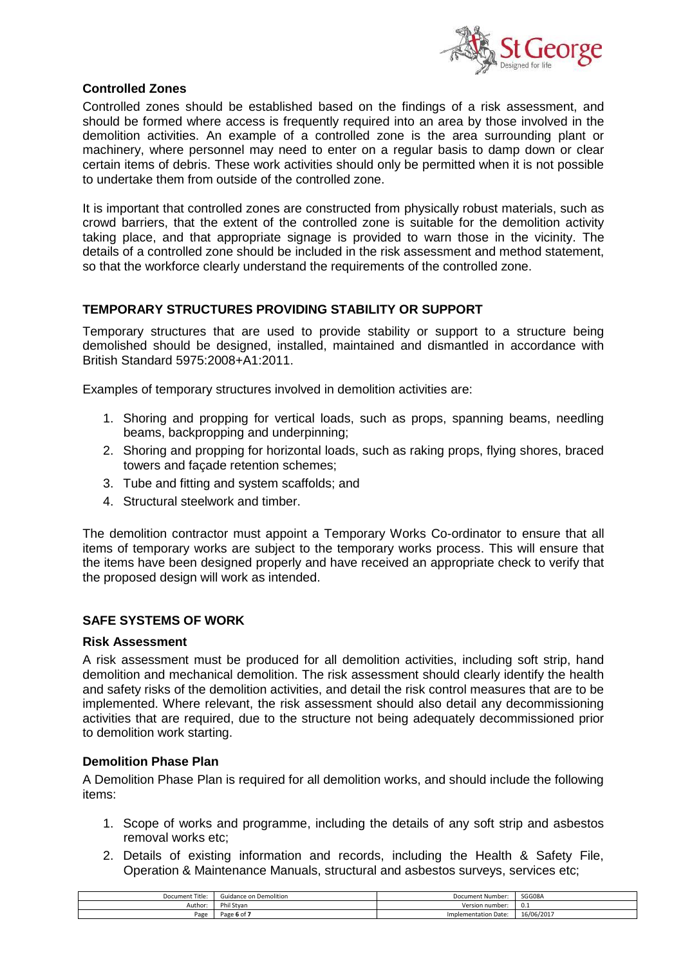

# **Controlled Zones**

Controlled zones should be established based on the findings of a risk assessment, and should be formed where access is frequently required into an area by those involved in the demolition activities. An example of a controlled zone is the area surrounding plant or machinery, where personnel may need to enter on a regular basis to damp down or clear certain items of debris. These work activities should only be permitted when it is not possible to undertake them from outside of the controlled zone.

It is important that controlled zones are constructed from physically robust materials, such as crowd barriers, that the extent of the controlled zone is suitable for the demolition activity taking place, and that appropriate signage is provided to warn those in the vicinity. The details of a controlled zone should be included in the risk assessment and method statement, so that the workforce clearly understand the requirements of the controlled zone.

# **TEMPORARY STRUCTURES PROVIDING STABILITY OR SUPPORT**

Temporary structures that are used to provide stability or support to a structure being demolished should be designed, installed, maintained and dismantled in accordance with British Standard 5975:2008+A1:2011.

Examples of temporary structures involved in demolition activities are:

- 1. Shoring and propping for vertical loads, such as props, spanning beams, needling beams, backpropping and underpinning;
- 2. Shoring and propping for horizontal loads, such as raking props, flying shores, braced towers and façade retention schemes;
- 3. Tube and fitting and system scaffolds; and
- 4. Structural steelwork and timber.

The demolition contractor must appoint a Temporary Works Co-ordinator to ensure that all items of temporary works are subject to the temporary works process. This will ensure that the items have been designed properly and have received an appropriate check to verify that the proposed design will work as intended.

# **SAFE SYSTEMS OF WORK**

#### **Risk Assessment**

A risk assessment must be produced for all demolition activities, including soft strip, hand demolition and mechanical demolition. The risk assessment should clearly identify the health and safety risks of the demolition activities, and detail the risk control measures that are to be implemented. Where relevant, the risk assessment should also detail any decommissioning activities that are required, due to the structure not being adequately decommissioned prior to demolition work starting.

# **Demolition Phase Plan**

A Demolition Phase Plan is required for all demolition works, and should include the following items:

- 1. Scope of works and programme, including the details of any soft strip and asbestos removal works etc;
- 2. Details of existing information and records, including the Health & Safety File, Operation & Maintenance Manuals, structural and asbestos surveys, services etc;

| Document<br>Title: | Guidance on Demolition                                | Document Number:     | SGG08A     |
|--------------------|-------------------------------------------------------|----------------------|------------|
| Author:            | Phil Stvan                                            | Version number:      | v.i        |
| Page               | $D \cap \cap \cap$<br>-<br>יוטיסיי<br>ne <del>c</del> | Implementation Date: | 16/06/2017 |